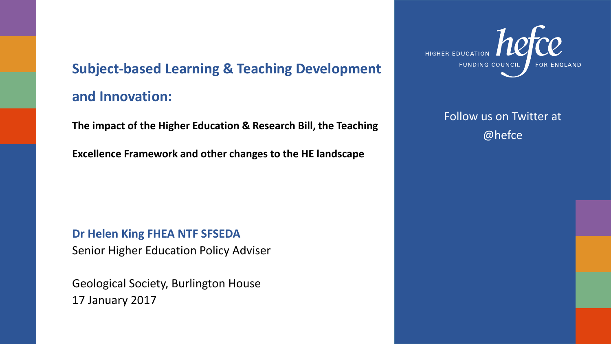#### **Subject-based Learning & Teaching Development and Innovation:**

**The impact of the Higher Education & Research Bill, the Teaching** 

**Excellence Framework and other changes to the HE landscape**

**Dr Helen King FHEA NTF SFSEDA** Senior Higher Education Policy Adviser

Geological Society, Burlington House 17 January 2017



Follow us on Twitter at @hefce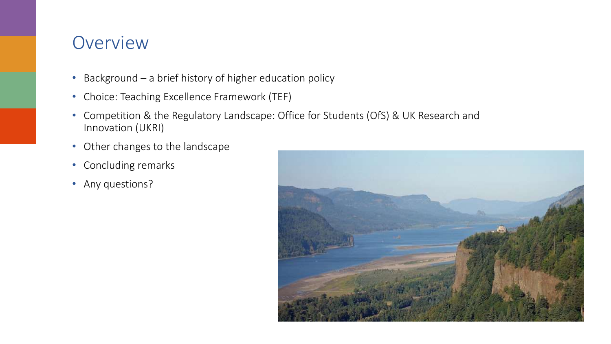#### **Overview**

- Background a brief history of higher education policy
- Choice: Teaching Excellence Framework (TEF)
- Competition & the Regulatory Landscape: Office for Students (OfS) & UK Research and Innovation (UKRI)
- Other changes to the landscape
- Concluding remarks
- Any questions?

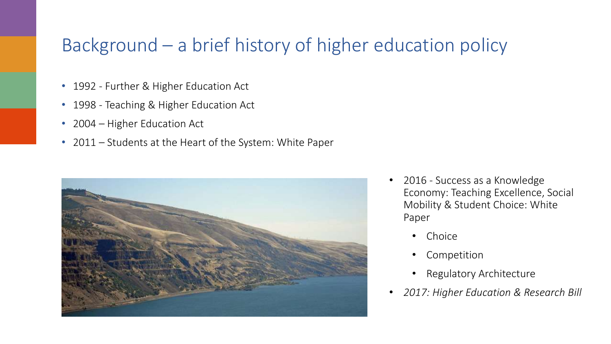### Background – a brief history of higher education policy

- 1992 Further & Higher Education Act
- 1998 Teaching & Higher Education Act
- 2004 Higher Education Act
- 2011 Students at the Heart of the System: White Paper



- 2016 Success as a Knowledge Economy: Teaching Excellence, Social Mobility & Student Choice: White Paper
	- Choice
	- Competition
	- Regulatory Architecture
- *2017: Higher Education & Research Bill*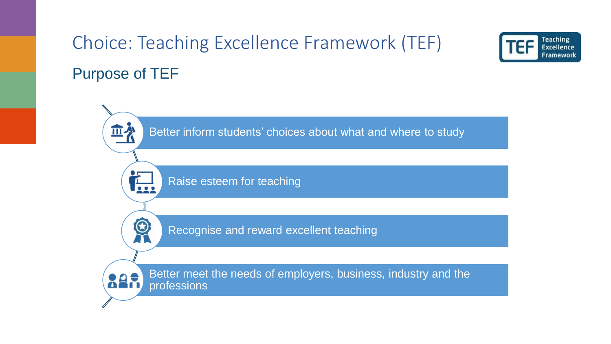# Choice: Teaching Excellence Framework (TEF) Purpose of TEF



**Teaching** Excellence Framework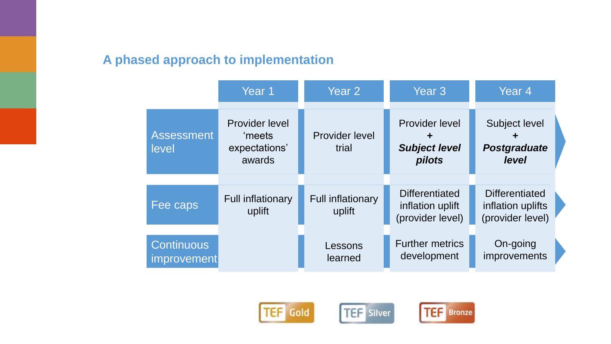#### **A phased approach to implementation**

|                                         | Year 1                                                     | Year 2                             | Year <sub>3</sub>                                             | Year <sub>4</sub>                                              |
|-----------------------------------------|------------------------------------------------------------|------------------------------------|---------------------------------------------------------------|----------------------------------------------------------------|
| <b>Assessment</b><br>level              | <b>Provider level</b><br>'meets<br>expectations'<br>awards | <b>Provider level</b><br>trial     | <b>Provider level</b><br>┿<br><b>Subject level</b><br>pilots  | <b>Subject level</b><br><b>Postgraduate</b><br>level           |
| Fee caps                                | <b>Full inflationary</b><br>uplift                         | <b>Full inflationary</b><br>uplift | <b>Differentiated</b><br>inflation uplift<br>(provider level) | <b>Differentiated</b><br>inflation uplifts<br>(provider level) |
| <b>Continuous</b><br><i>improvement</i> |                                                            | Lessons<br>learned                 | <b>Further metrics</b><br>development                         | On-going<br>improvements                                       |





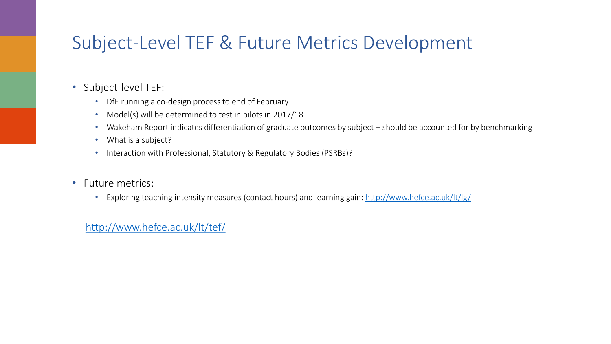## Subject-Level TEF & Future Metrics Development

- Subject-level TEF:
	- DfE running a co-design process to end of February
	- Model(s) will be determined to test in pilots in 2017/18
	- Wakeham Report indicates differentiation of graduate outcomes by subject should be accounted for by benchmarking
	- What is a subject?
	- Interaction with Professional, Statutory & Regulatory Bodies (PSRBs)?
- Future metrics:
	- Exploring teaching intensity measures (contact hours) and learning gain:<http://www.hefce.ac.uk/lt/lg/>

<http://www.hefce.ac.uk/lt/tef/>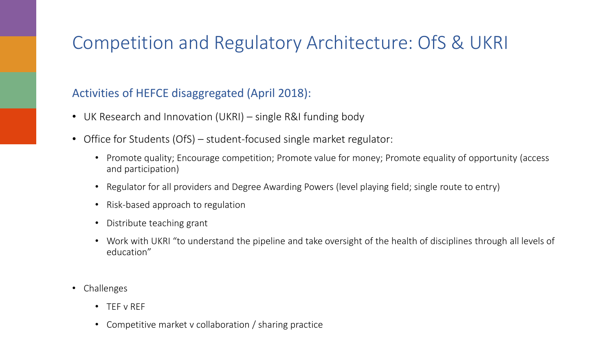## Competition and Regulatory Architecture: OfS & UKRI

#### Activities of HEFCE disaggregated (April 2018):

- UK Research and Innovation (UKRI) single R&I funding body
- Office for Students (OfS) student-focused single market regulator:
	- Promote quality; Encourage competition; Promote value for money; Promote equality of opportunity (access and participation)
	- Regulator for all providers and Degree Awarding Powers (level playing field; single route to entry)
	- Risk-based approach to regulation
	- Distribute teaching grant
	- Work with UKRI "to understand the pipeline and take oversight of the health of disciplines through all levels of education"
- Challenges
	- TEF v REF
	- Competitive market v collaboration / sharing practice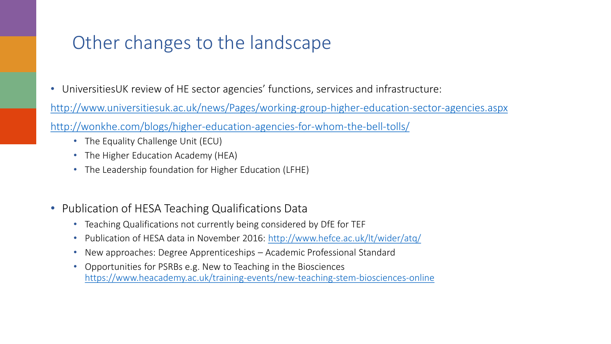### Other changes to the landscape

• UniversitiesUK review of HE sector agencies' functions, services and infrastructure:

<http://www.universitiesuk.ac.uk/news/Pages/working-group-higher-education-sector-agencies.aspx>

<http://wonkhe.com/blogs/higher-education-agencies-for-whom-the-bell-tolls/>

- The Equality Challenge Unit (ECU)
- The Higher Education Academy (HEA)
- The Leadership foundation for Higher Education (LFHE)
- Publication of HESA Teaching Qualifications Data
	- Teaching Qualifications not currently being considered by DfE for TEF
	- Publication of HESA data in November 2016: <http://www.hefce.ac.uk/lt/wider/atq/>
	- New approaches: Degree Apprenticeships Academic Professional Standard
	- Opportunities for PSRBs e.g. New to Teaching in the Biosciences <https://www.heacademy.ac.uk/training-events/new-teaching-stem-biosciences-online>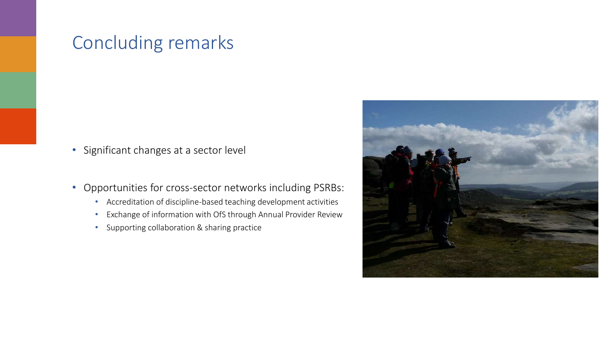#### Concluding remarks

- Significant changes at a sector level
- Opportunities for cross-sector networks including PSRBs:
	- Accreditation of discipline-based teaching development activities
	- Exchange of information with OfS through Annual Provider Review
	- Supporting collaboration & sharing practice

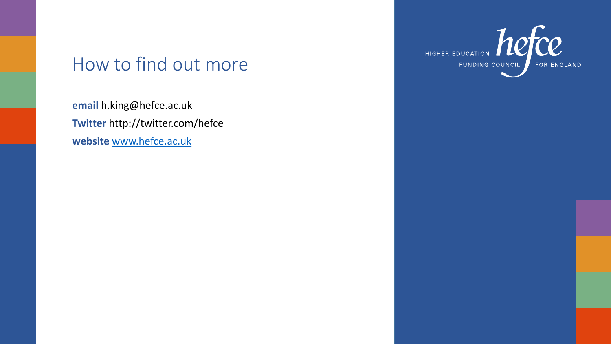### How to find out more

**email** h.king@hefce.ac.uk **Twitter** http://twitter.com/hefce **website** [www.hefce.ac.uk](http://www.hefce.ac.uk/)